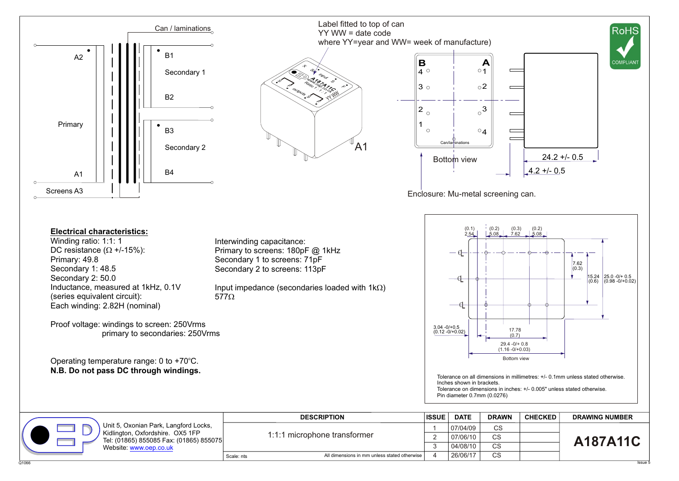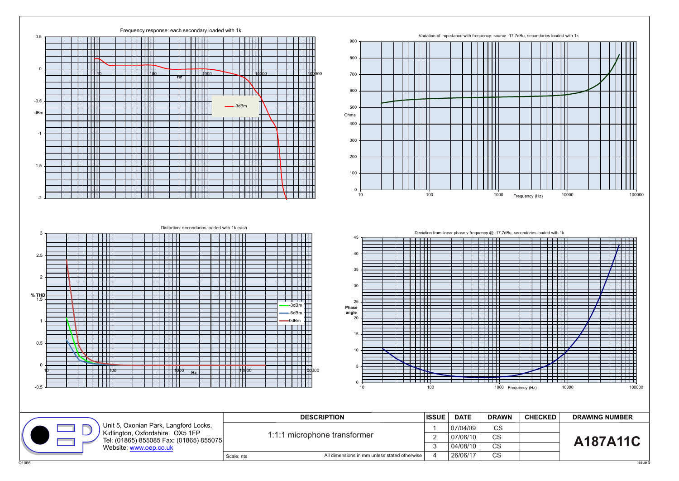